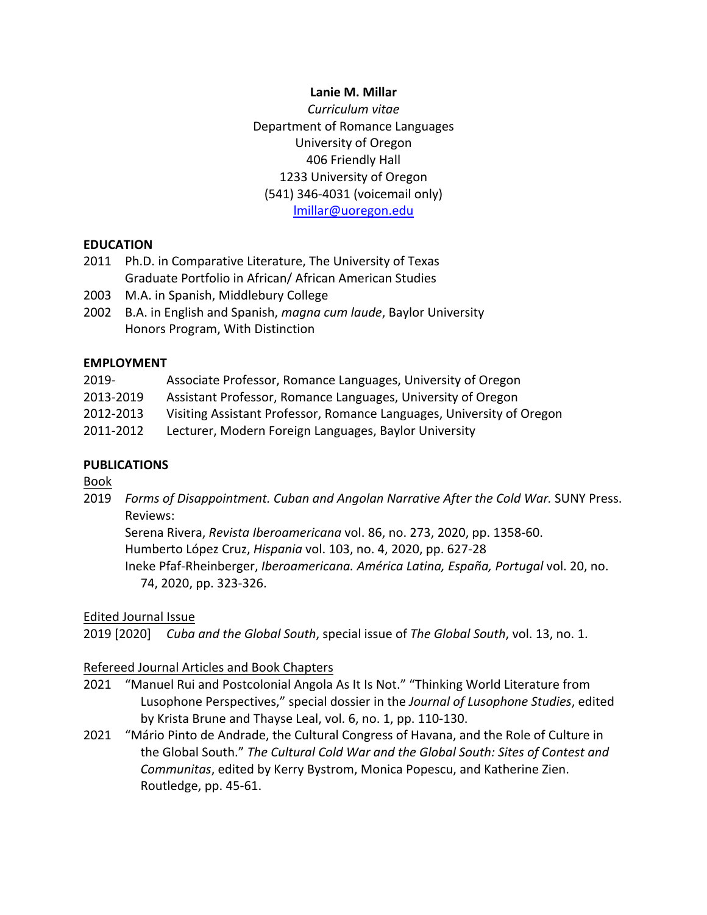### **Lanie M. Millar**

*Curriculum vitae* Department of Romance Languages University of Oregon 406 Friendly Hall 1233 University of Oregon (541) 346-4031 (voicemail only) lmillar@uoregon.edu

### **EDUCATION**

- 2011 Ph.D. in Comparative Literature, The University of Texas Graduate Portfolio in African/ African American Studies
- 2003 M.A. in Spanish, Middlebury College
- 2002 B.A. in English and Spanish, *magna cum laude*, Baylor University Honors Program, With Distinction

### **EMPLOYMENT**

| 2019-                                                                                                    | Associate Professor, Romance Languages, University of Oregon                                                                                                                                                                                                                             |
|----------------------------------------------------------------------------------------------------------|------------------------------------------------------------------------------------------------------------------------------------------------------------------------------------------------------------------------------------------------------------------------------------------|
| $\begin{array}{c} \n\bullet \bullet \bullet \bullet \bullet \bullet \bullet \bullet \bullet \end{array}$ | $\mathbf{A}$ , and $\mathbf{A}$ , and $\mathbf{A}$ , and $\mathbf{A}$ , and $\mathbf{A}$ , and $\mathbf{A}$ , and $\mathbf{A}$ , and $\mathbf{A}$ , and $\mathbf{A}$ , and $\mathbf{A}$ , and $\mathbf{A}$ , and $\mathbf{A}$ , and $\mathbf{A}$ , and $\mathbf{A}$ , and $\mathbf{A}$ , |

- 2013-2019 Assistant Professor, Romance Languages, University of Oregon
- 2012-2013 Visiting Assistant Professor, Romance Languages, University of Oregon
- 2011-2012 Lecturer, Modern Foreign Languages, Baylor University

## **PUBLICATIONS**

Book

2019 *Forms of Disappointment. Cuban and Angolan Narrative After the Cold War.* SUNY Press. Reviews:

Serena Rivera, *Revista Iberoamericana* vol. 86, no. 273, 2020, pp. 1358-60. Humberto López Cruz, *Hispania* vol. 103, no. 4, 2020, pp. 627-28 Ineke Pfaf-Rheinberger, *Iberoamericana. América Latina, España, Portugal* vol. 20, no. 74, 2020, pp. 323-326.

### Edited Journal Issue

2019 [2020] *Cuba and the Global South*, special issue of *The Global South*, vol. 13, no. 1.

### Refereed Journal Articles and Book Chapters

- 2021 "Manuel Rui and Postcolonial Angola As It Is Not." "Thinking World Literature from Lusophone Perspectives," special dossier in the *Journal of Lusophone Studies*, edited by Krista Brune and Thayse Leal, vol. 6, no. 1, pp. 110-130.
- 2021 "Mário Pinto de Andrade, the Cultural Congress of Havana, and the Role of Culture in the Global South." *The Cultural Cold War and the Global South: Sites of Contest and Communitas*, edited by Kerry Bystrom, Monica Popescu, and Katherine Zien. Routledge, pp. 45-61.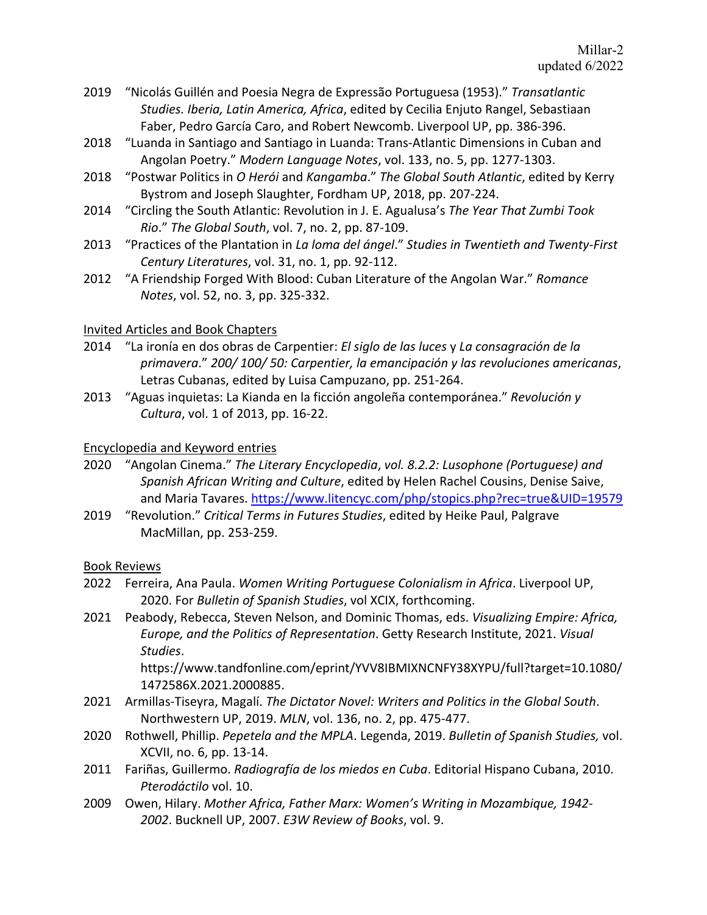- 2019 "Nicolás Guillén and Poesia Negra de Expressão Portuguesa (1953)." *Transatlantic Studies. Iberia, Latin America, Africa*, edited by Cecilia Enjuto Rangel, Sebastiaan Faber, Pedro García Caro, and Robert Newcomb. Liverpool UP, pp. 386-396.
- 2018 "Luanda in Santiago and Santiago in Luanda: Trans-Atlantic Dimensions in Cuban and Angolan Poetry." *Modern Language Notes*, vol. 133, no. 5, pp. 1277-1303.
- 2018 "Postwar Politics in *O Herói* and *Kangamba*." *The Global South Atlantic*, edited by Kerry Bystrom and Joseph Slaughter, Fordham UP, 2018, pp. 207-224.
- 2014 "Circling the South Atlantic: Revolution in J. E. Agualusa's *The Year That Zumbi Took Rio*." *The Global South*, vol. 7, no. 2, pp. 87-109.
- 2013 "Practices of the Plantation in *La loma del ángel*." *Studies in Twentieth and Twenty-First Century Literatures*, vol. 31, no. 1, pp. 92-112.
- 2012 "A Friendship Forged With Blood: Cuban Literature of the Angolan War." *Romance Notes*, vol. 52, no. 3, pp. 325-332.

# Invited Articles and Book Chapters

- 2014 "La ironía en dos obras de Carpentier: *El siglo de las luces* y *La consagración de la primavera*." *200/ 100/ 50: Carpentier, la emancipación y las revoluciones americanas*, Letras Cubanas, edited by Luisa Campuzano, pp. 251-264.
- 2013 "Aguas inquietas: La Kianda en la ficción angoleña contemporánea." *Revolución y Cultura*, vol. 1 of 2013, pp. 16-22.

## Encyclopedia and Keyword entries

- 2020 "Angolan Cinema." *The Literary Encyclopedia*, *vol. 8.2.2: Lusophone (Portuguese) and Spanish African Writing and Culture*, edited by Helen Rachel Cousins, Denise Saive, and Maria Tavares. https://www.litencyc.com/php/stopics.php?rec=true&UID=19579
- 2019 "Revolution." *Critical Terms in Futures Studies*, edited by Heike Paul, Palgrave MacMillan, pp. 253-259.

### Book Reviews

- 2022 Ferreira, Ana Paula. *Women Writing Portuguese Colonialism in Africa*. Liverpool UP, 2020. For *Bulletin of Spanish Studies*, vol XCIX, forthcoming.
- 2021 Peabody, Rebecca, Steven Nelson, and Dominic Thomas, eds. *Visualizing Empire: Africa, Europe, and the Politics of Representation*. Getty Research Institute, 2021. *Visual Studies*.

https://www.tandfonline.com/eprint/YVV8IBMIXNCNFY38XYPU/full?target=10.1080/ 1472586X.2021.2000885.

- 2021 Armillas-Tiseyra, Magalí. *The Dictator Novel: Writers and Politics in the Global South*. Northwestern UP, 2019. *MLN*, vol. 136, no. 2, pp. 475-477.
- 2020 Rothwell, Phillip. *Pepetela and the MPLA*. Legenda, 2019. *Bulletin of Spanish Studies,* vol. XCVII, no. 6, pp. 13-14.
- 2011 Fariñas, Guillermo. *Radiografía de los miedos en Cuba*. Editorial Hispano Cubana, 2010. *Pterodáctilo* vol. 10.
- 2009 Owen, Hilary. *Mother Africa, Father Marx: Women's Writing in Mozambique, 1942- 2002*. Bucknell UP, 2007. *E3W Review of Books*, vol. 9.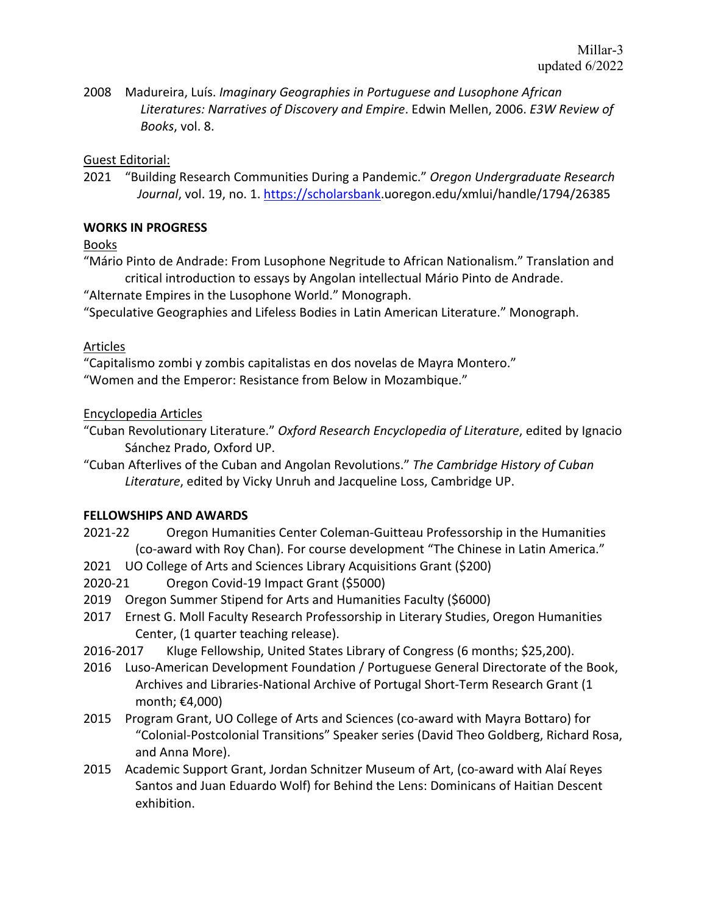2008 Madureira, Luís. *Imaginary Geographies in Portuguese and Lusophone African Literatures: Narratives of Discovery and Empire*. Edwin Mellen, 2006. *E3W Review of Books*, vol. 8.

### Guest Editorial:

2021 "Building Research Communities During a Pandemic." *Oregon Undergraduate Research Journal*, vol. 19, no. 1. https://scholarsbank.uoregon.edu/xmlui/handle/1794/26385

# **WORKS IN PROGRESS**

Books

"Mário Pinto de Andrade: From Lusophone Negritude to African Nationalism." Translation and critical introduction to essays by Angolan intellectual Mário Pinto de Andrade.

"Alternate Empires in the Lusophone World." Monograph.

"Speculative Geographies and Lifeless Bodies in Latin American Literature." Monograph.

## Articles

"Capitalismo zombi y zombis capitalistas en dos novelas de Mayra Montero." "Women and the Emperor: Resistance from Below in Mozambique."

## Encyclopedia Articles

- "Cuban Revolutionary Literature." *Oxford Research Encyclopedia of Literature*, edited by Ignacio Sánchez Prado, Oxford UP.
- "Cuban Afterlives of the Cuban and Angolan Revolutions." *The Cambridge History of Cuban Literature*, edited by Vicky Unruh and Jacqueline Loss, Cambridge UP.

### **FELLOWSHIPS AND AWARDS**

- 2021-22 Oregon Humanities Center Coleman-Guitteau Professorship in the Humanities (co-award with Roy Chan). For course development "The Chinese in Latin America."
- 2021 UO College of Arts and Sciences Library Acquisitions Grant (\$200)
- 2020-21 Oregon Covid-19 Impact Grant (\$5000)
- 2019 Oregon Summer Stipend for Arts and Humanities Faculty (\$6000)
- 2017 Ernest G. Moll Faculty Research Professorship in Literary Studies, Oregon Humanities Center, (1 quarter teaching release).
- 2016-2017 Kluge Fellowship, United States Library of Congress (6 months; \$25,200).
- 2016 Luso-American Development Foundation / Portuguese General Directorate of the Book, Archives and Libraries-National Archive of Portugal Short-Term Research Grant (1 month; €4,000)
- 2015 Program Grant, UO College of Arts and Sciences (co-award with Mayra Bottaro) for "Colonial-Postcolonial Transitions" Speaker series (David Theo Goldberg, Richard Rosa, and Anna More).
- 2015 Academic Support Grant, Jordan Schnitzer Museum of Art, (co-award with Alaí Reyes Santos and Juan Eduardo Wolf) for Behind the Lens: Dominicans of Haitian Descent exhibition.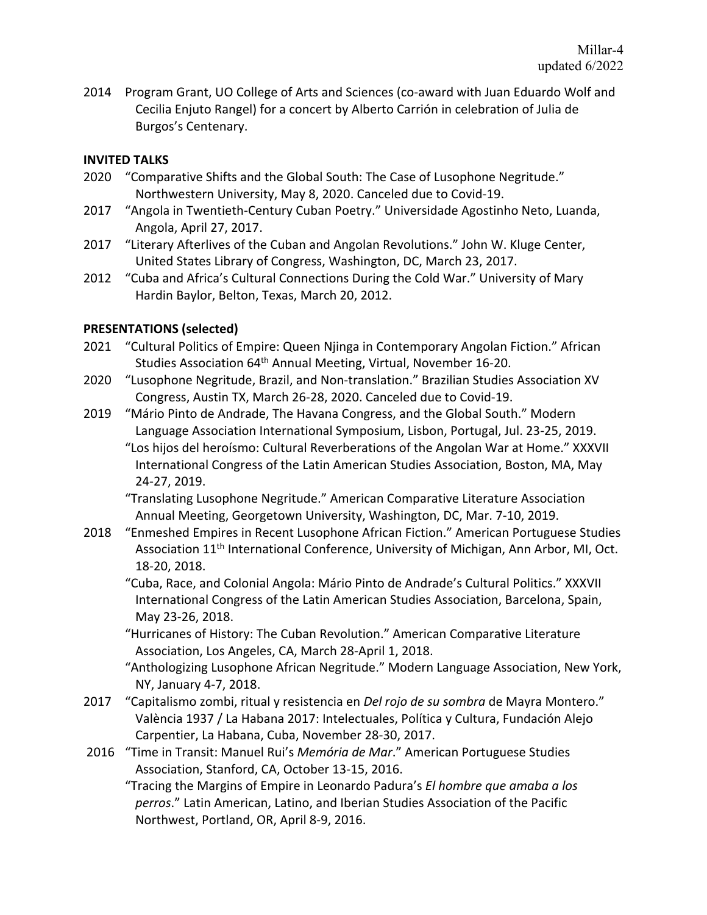2014 Program Grant, UO College of Arts and Sciences (co-award with Juan Eduardo Wolf and Cecilia Enjuto Rangel) for a concert by Alberto Carrión in celebration of Julia de Burgos's Centenary.

## **INVITED TALKS**

- 2020 "Comparative Shifts and the Global South: The Case of Lusophone Negritude." Northwestern University, May 8, 2020. Canceled due to Covid-19.
- 2017 "Angola in Twentieth-Century Cuban Poetry." Universidade Agostinho Neto, Luanda, Angola, April 27, 2017.
- 2017 "Literary Afterlives of the Cuban and Angolan Revolutions." John W. Kluge Center, United States Library of Congress, Washington, DC, March 23, 2017.
- 2012 "Cuba and Africa's Cultural Connections During the Cold War." University of Mary Hardin Baylor, Belton, Texas, March 20, 2012.

## **PRESENTATIONS (selected)**

- 2021 "Cultural Politics of Empire: Queen Njinga in Contemporary Angolan Fiction." African Studies Association 64<sup>th</sup> Annual Meeting, Virtual, November 16-20.
- 2020 "Lusophone Negritude, Brazil, and Non-translation." Brazilian Studies Association XV Congress, Austin TX, March 26-28, 2020. Canceled due to Covid-19.
- 2019 "Mário Pinto de Andrade, The Havana Congress, and the Global South." Modern Language Association International Symposium, Lisbon, Portugal, Jul. 23-25, 2019.
	- "Los hijos del heroísmo: Cultural Reverberations of the Angolan War at Home." XXXVII International Congress of the Latin American Studies Association, Boston, MA, May 24-27, 2019.
	- "Translating Lusophone Negritude." American Comparative Literature Association Annual Meeting, Georgetown University, Washington, DC, Mar. 7-10, 2019.
- 2018 "Enmeshed Empires in Recent Lusophone African Fiction." American Portuguese Studies Association 11<sup>th</sup> International Conference, University of Michigan, Ann Arbor, MI, Oct. 18-20, 2018.
	- "Cuba, Race, and Colonial Angola: Mário Pinto de Andrade's Cultural Politics." XXXVII International Congress of the Latin American Studies Association, Barcelona, Spain, May 23-26, 2018.
	- "Hurricanes of History: The Cuban Revolution." American Comparative Literature Association, Los Angeles, CA, March 28-April 1, 2018.
	- "Anthologizing Lusophone African Negritude." Modern Language Association, New York, NY, January 4-7, 2018.
- 2017 "Capitalismo zombi, ritual y resistencia en *Del rojo de su sombra* de Mayra Montero." València 1937 / La Habana 2017: Intelectuales, Política y Cultura, Fundación Alejo Carpentier, La Habana, Cuba, November 28-30, 2017.
- 2016 "Time in Transit: Manuel Rui's *Memória de Mar*." American Portuguese Studies Association, Stanford, CA, October 13-15, 2016.
	- "Tracing the Margins of Empire in Leonardo Padura's *El hombre que amaba a los perros*." Latin American, Latino, and Iberian Studies Association of the Pacific Northwest, Portland, OR, April 8-9, 2016.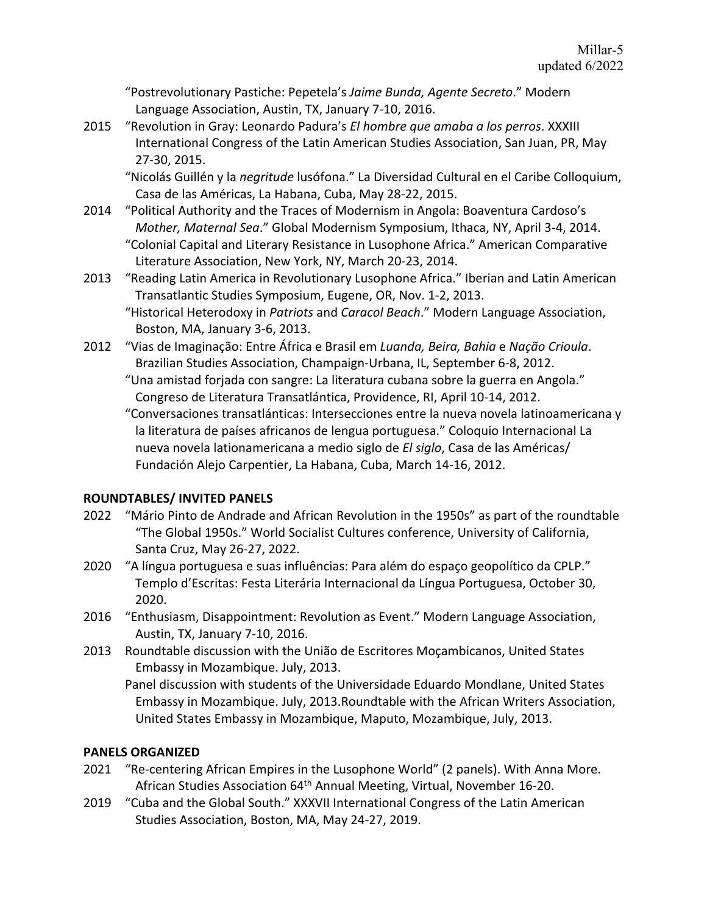"Postrevolutionary Pastiche: Pepetela's *Jaime Bunda, Agente Secreto*." Modern Language Association, Austin, TX, January 7-10, 2016.

2015 "Revolution in Gray: Leonardo Padura's *El hombre que amaba a los perros*. XXXIII International Congress of the Latin American Studies Association, San Juan, PR, May 27-30, 2015.

"Nicolás Guillén y la *negritude* lusófona." La Diversidad Cultural en el Caribe Colloquium, Casa de las Américas, La Habana, Cuba, May 28-22, 2015.

- 2014 "Political Authority and the Traces of Modernism in Angola: Boaventura Cardoso's *Mother, Maternal Sea*." Global Modernism Symposium, Ithaca, NY, April 3-4, 2014. "Colonial Capital and Literary Resistance in Lusophone Africa." American Comparative Literature Association, New York, NY, March 20-23, 2014.
- 2013 "Reading Latin America in Revolutionary Lusophone Africa." Iberian and Latin American Transatlantic Studies Symposium, Eugene, OR, Nov. 1-2, 2013.
	- "Historical Heterodoxy in *Patriots* and *Caracol Beach*." Modern Language Association, Boston, MA, January 3-6, 2013.
- 2012 "Vias de Imaginação: Entre África e Brasil em *Luanda, Beira, Bahia* e *Nação Crioula*. Brazilian Studies Association, Champaign-Urbana, IL, September 6-8, 2012.
	- "Una amistad forjada con sangre: La literatura cubana sobre la guerra en Angola." Congreso de Literatura Transatlántica, Providence, RI, April 10-14, 2012.

"Conversaciones transatlánticas: Intersecciones entre la nueva novela latinoamericana y la literatura de países africanos de lengua portuguesa." Coloquio Internacional La nueva novela lationamericana a medio siglo de *El siglo*, Casa de las Américas/ Fundación Alejo Carpentier, La Habana, Cuba, March 14-16, 2012.

# **ROUNDTABLES/ INVITED PANELS**

- 2022 "Mário Pinto de Andrade and African Revolution in the 1950s" as part of the roundtable "The Global 1950s." World Socialist Cultures conference, University of California, Santa Cruz, May 26-27, 2022.
- 2020 "A língua portuguesa e suas influências: Para além do espaço geopolítico da CPLP." Templo d'Escritas: Festa Literária Internacional da Língua Portuguesa, October 30, 2020.
- 2016 "Enthusiasm, Disappointment: Revolution as Event." Modern Language Association, Austin, TX, January 7-10, 2016.
- 2013 Roundtable discussion with the União de Escritores Moçambicanos, United States Embassy in Mozambique. July, 2013.
	- Panel discussion with students of the Universidade Eduardo Mondlane, United States Embassy in Mozambique. July, 2013.Roundtable with the African Writers Association, United States Embassy in Mozambique, Maputo, Mozambique, July, 2013.

# **PANELS ORGANIZED**

- 2021 "Re-centering African Empires in the Lusophone World" (2 panels). With Anna More. African Studies Association 64<sup>th</sup> Annual Meeting, Virtual, November 16-20.
- 2019 "Cuba and the Global South." XXXVII International Congress of the Latin American Studies Association, Boston, MA, May 24-27, 2019.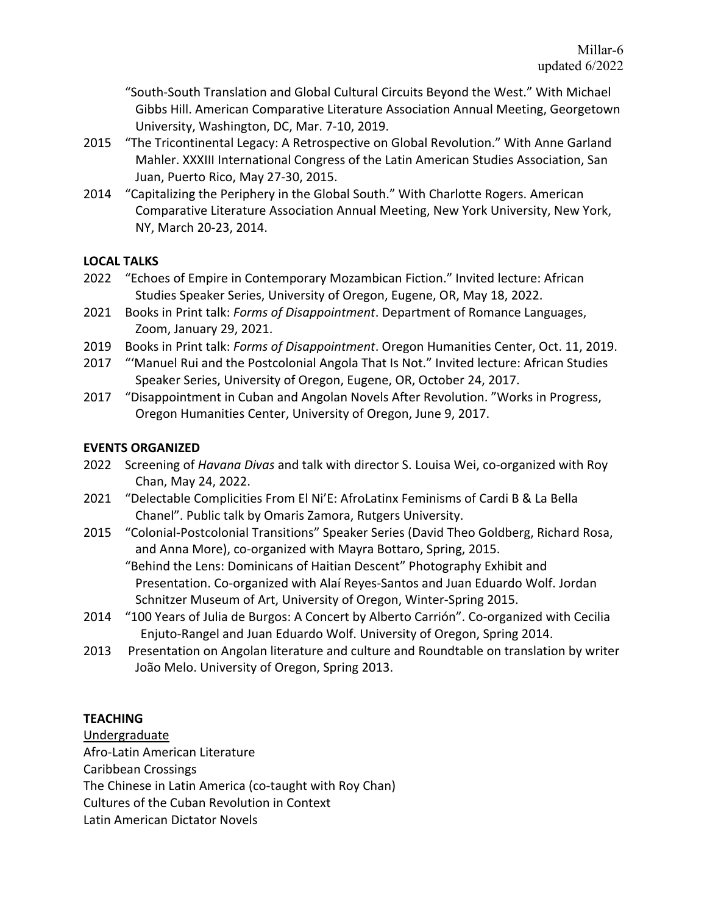"South-South Translation and Global Cultural Circuits Beyond the West." With Michael Gibbs Hill. American Comparative Literature Association Annual Meeting, Georgetown University, Washington, DC, Mar. 7-10, 2019.

- 2015 "The Tricontinental Legacy: A Retrospective on Global Revolution." With Anne Garland Mahler. XXXIII International Congress of the Latin American Studies Association, San Juan, Puerto Rico, May 27-30, 2015.
- 2014 "Capitalizing the Periphery in the Global South." With Charlotte Rogers. American Comparative Literature Association Annual Meeting, New York University, New York, NY, March 20-23, 2014.

### **LOCAL TALKS**

- 2022 "Echoes of Empire in Contemporary Mozambican Fiction." Invited lecture: African Studies Speaker Series, University of Oregon, Eugene, OR, May 18, 2022.
- 2021 Books in Print talk: *Forms of Disappointment*. Department of Romance Languages, Zoom, January 29, 2021.
- 2019 Books in Print talk: *Forms of Disappointment*. Oregon Humanities Center, Oct. 11, 2019.
- 2017 "'Manuel Rui and the Postcolonial Angola That Is Not." Invited lecture: African Studies Speaker Series, University of Oregon, Eugene, OR, October 24, 2017.
- 2017 "Disappointment in Cuban and Angolan Novels After Revolution. "Works in Progress, Oregon Humanities Center, University of Oregon, June 9, 2017.

## **EVENTS ORGANIZED**

- 2022 Screening of *Havana Divas* and talk with director S. Louisa Wei, co-organized with Roy Chan, May 24, 2022.
- 2021 "Delectable Complicities From El Ni'E: AfroLatinx Feminisms of Cardi B & La Bella Chanel". Public talk by Omaris Zamora, Rutgers University.
- 2015 "Colonial-Postcolonial Transitions" Speaker Series (David Theo Goldberg, Richard Rosa, and Anna More), co-organized with Mayra Bottaro, Spring, 2015.

"Behind the Lens: Dominicans of Haitian Descent" Photography Exhibit and Presentation. Co-organized with Alaí Reyes-Santos and Juan Eduardo Wolf. Jordan Schnitzer Museum of Art, University of Oregon, Winter-Spring 2015.

- 2014 "100 Years of Julia de Burgos: A Concert by Alberto Carrión". Co-organized with Cecilia Enjuto-Rangel and Juan Eduardo Wolf. University of Oregon, Spring 2014.
- 2013 Presentation on Angolan literature and culture and Roundtable on translation by writer João Melo. University of Oregon, Spring 2013.

# **TEACHING**

Undergraduate Afro-Latin American Literature Caribbean Crossings The Chinese in Latin America (co-taught with Roy Chan) Cultures of the Cuban Revolution in Context

Latin American Dictator Novels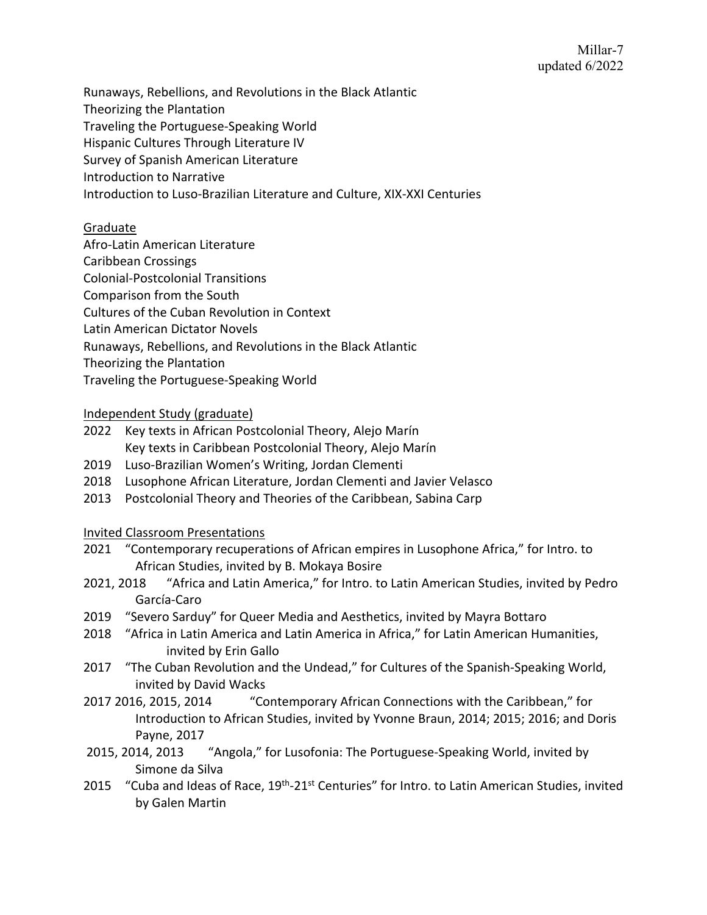Runaways, Rebellions, and Revolutions in the Black Atlantic

- Theorizing the Plantation
- Traveling the Portuguese-Speaking World
- Hispanic Cultures Through Literature IV
- Survey of Spanish American Literature
- Introduction to Narrative
- Introduction to Luso-Brazilian Literature and Culture, XIX-XXI Centuries

# Graduate

- Afro-Latin American Literature
- Caribbean Crossings
- Colonial-Postcolonial Transitions
- Comparison from the South
- Cultures of the Cuban Revolution in Context
- Latin American Dictator Novels
- Runaways, Rebellions, and Revolutions in the Black Atlantic
- Theorizing the Plantation
- Traveling the Portuguese-Speaking World

# Independent Study (graduate)

- 2022 Key texts in African Postcolonial Theory, Alejo Marín Key texts in Caribbean Postcolonial Theory, Alejo Marín
- 2019 Luso-Brazilian Women's Writing, Jordan Clementi
- 2018 Lusophone African Literature, Jordan Clementi and Javier Velasco
- 2013 Postcolonial Theory and Theories of the Caribbean, Sabina Carp

# Invited Classroom Presentations

- 2021 "Contemporary recuperations of African empires in Lusophone Africa," for Intro. to African Studies, invited by B. Mokaya Bosire
- 2021, 2018 "Africa and Latin America," for Intro. to Latin American Studies, invited by Pedro García-Caro
- 2019 "Severo Sarduy" for Queer Media and Aesthetics, invited by Mayra Bottaro
- 2018 "Africa in Latin America and Latin America in Africa," for Latin American Humanities, invited by Erin Gallo
- 2017 "The Cuban Revolution and the Undead," for Cultures of the Spanish-Speaking World, invited by David Wacks
- 2017 2016, 2015, 2014 "Contemporary African Connections with the Caribbean," for Introduction to African Studies, invited by Yvonne Braun, 2014; 2015; 2016; and Doris Payne, 2017
- 2015, 2014, 2013 "Angola," for Lusofonia: The Portuguese-Speaking World, invited by Simone da Silva
- 2015 "Cuba and Ideas of Race,  $19<sup>th</sup> 21<sup>st</sup>$  Centuries" for Intro. to Latin American Studies, invited by Galen Martin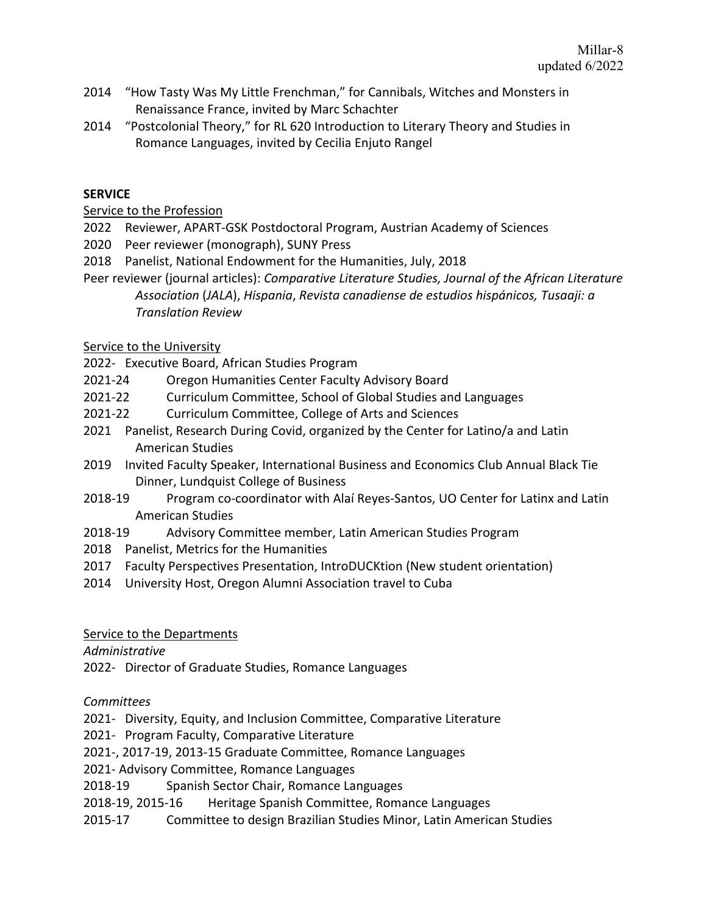- 2014 "How Tasty Was My Little Frenchman," for Cannibals, Witches and Monsters in Renaissance France, invited by Marc Schachter
- 2014 "Postcolonial Theory," for RL 620 Introduction to Literary Theory and Studies in Romance Languages, invited by Cecilia Enjuto Rangel

## **SERVICE**

Service to the Profession

- 2022 Reviewer, APART-GSK Postdoctoral Program, Austrian Academy of Sciences
- 2020 Peer reviewer (monograph), SUNY Press
- 2018 Panelist, National Endowment for the Humanities, July, 2018
- Peer reviewer (journal articles): *Comparative Literature Studies, Journal of the African Literature Association* (*JALA*), *Hispania*, *Revista canadiense de estudios hispánicos, Tusaaji: a Translation Review*

Service to the University

- 2022- Executive Board, African Studies Program
- 2021-24 Oregon Humanities Center Faculty Advisory Board
- 2021-22 Curriculum Committee, School of Global Studies and Languages
- 2021-22 Curriculum Committee, College of Arts and Sciences
- 2021 Panelist, Research During Covid, organized by the Center for Latino/a and Latin American Studies
- 2019 Invited Faculty Speaker, International Business and Economics Club Annual Black Tie Dinner, Lundquist College of Business
- 2018-19 Program co-coordinator with Alaí Reyes-Santos, UO Center for Latinx and Latin American Studies
- 2018-19 Advisory Committee member, Latin American Studies Program
- 2018 Panelist, Metrics for the Humanities
- 2017 Faculty Perspectives Presentation, IntroDUCKtion (New student orientation)
- 2014 University Host, Oregon Alumni Association travel to Cuba

Service to the Departments

*Administrative*

2022- Director of Graduate Studies, Romance Languages

*Committees*

2021- Diversity, Equity, and Inclusion Committee, Comparative Literature

2021- Program Faculty, Comparative Literature

2021-, 2017-19, 2013-15 Graduate Committee, Romance Languages

2021- Advisory Committee, Romance Languages

2018-19 Spanish Sector Chair, Romance Languages

- 2018-19, 2015-16 Heritage Spanish Committee, Romance Languages
- 2015-17 Committee to design Brazilian Studies Minor, Latin American Studies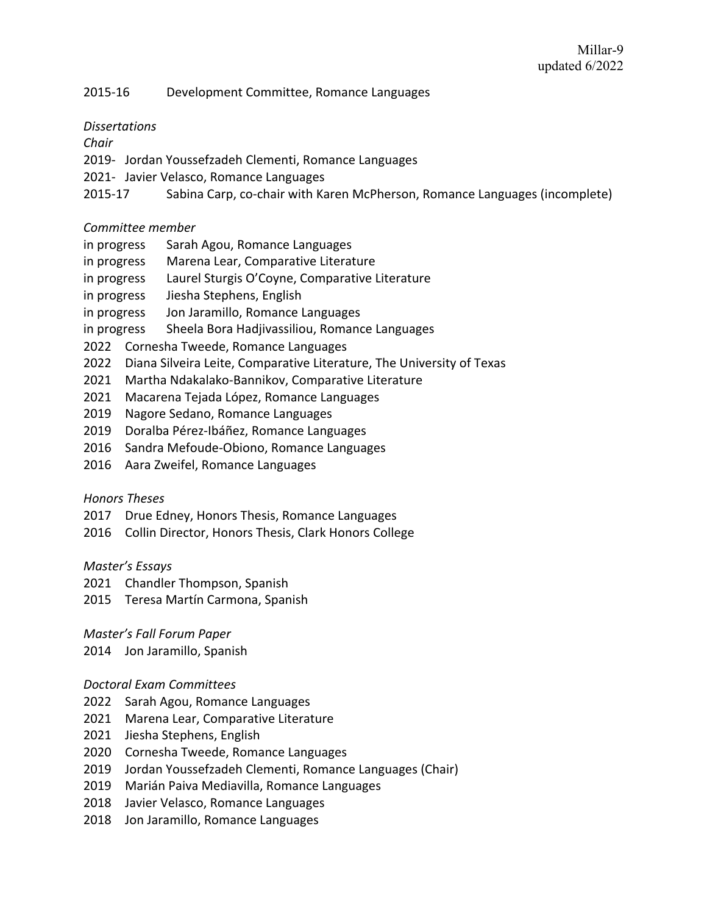### 2015-16 Development Committee, Romance Languages

### *Dissertations*

### *Chair*

- 2019- Jordan Youssefzadeh Clementi, Romance Languages
- 2021- Javier Velasco, Romance Languages
- 2015-17 Sabina Carp, co-chair with Karen McPherson, Romance Languages (incomplete)

### *Committee member*

- in progress Sarah Agou, Romance Languages
- in progress Marena Lear, Comparative Literature
- in progress Laurel Sturgis O'Coyne, Comparative Literature
- in progress Jiesha Stephens, English
- in progress Jon Jaramillo, Romance Languages
- in progress Sheela Bora Hadjivassiliou, Romance Languages
- 2022 Cornesha Tweede, Romance Languages
- 2022 Diana Silveira Leite, Comparative Literature, The University of Texas
- 2021 Martha Ndakalako-Bannikov, Comparative Literature
- 2021 Macarena Tejada López, Romance Languages
- 2019 Nagore Sedano, Romance Languages
- 2019 Doralba Pérez-Ibáñez, Romance Languages
- 2016 Sandra Mefoude-Obiono, Romance Languages
- 2016 Aara Zweifel, Romance Languages

#### *Honors Theses*

- 2017 Drue Edney, Honors Thesis, Romance Languages
- 2016 Collin Director, Honors Thesis, Clark Honors College

#### *Master's Essays*

- 2021 Chandler Thompson, Spanish
- 2015 Teresa Martín Carmona, Spanish

### *Master's Fall Forum Paper*

2014 Jon Jaramillo, Spanish

#### *Doctoral Exam Committees*

- 2022 Sarah Agou, Romance Languages
- 2021 Marena Lear, Comparative Literature
- 2021 Jiesha Stephens, English
- 2020 Cornesha Tweede, Romance Languages
- 2019 Jordan Youssefzadeh Clementi, Romance Languages (Chair)
- 2019 Marián Paiva Mediavilla, Romance Languages
- 2018 Javier Velasco, Romance Languages
- 2018 Jon Jaramillo, Romance Languages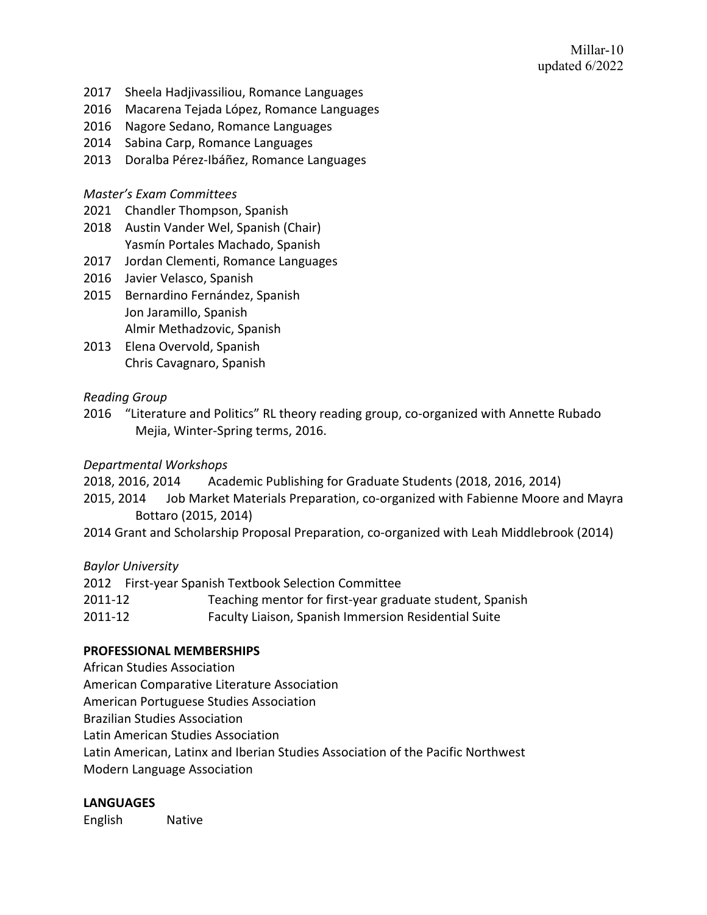- 2017 Sheela Hadjivassiliou, Romance Languages
- 2016 Macarena Tejada López, Romance Languages
- 2016 Nagore Sedano, Romance Languages
- 2014 Sabina Carp, Romance Languages
- 2013 Doralba Pérez-Ibáñez, Romance Languages

### *Master's Exam Committees*

- 2021 Chandler Thompson, Spanish
- 2018 Austin Vander Wel, Spanish (Chair) Yasmín Portales Machado, Spanish
- 2017 Jordan Clementi, Romance Languages
- 2016 Javier Velasco, Spanish
- 2015 Bernardino Fernández, Spanish Jon Jaramillo, Spanish Almir Methadzovic, Spanish
- 2013 Elena Overvold, Spanish Chris Cavagnaro, Spanish

# *Reading Group*

2016 "Literature and Politics" RL theory reading group, co-organized with Annette Rubado Mejia, Winter-Spring terms, 2016.

## *Departmental Workshops*

- 2018, 2016, 2014 Academic Publishing for Graduate Students (2018, 2016, 2014)
- 2015, 2014 Job Market Materials Preparation, co-organized with Fabienne Moore and Mayra Bottaro (2015, 2014)
- 2014 Grant and Scholarship Proposal Preparation, co-organized with Leah Middlebrook (2014)

### *Baylor University*

|         | 2012 First-year Spanish Textbook Selection Committee     |
|---------|----------------------------------------------------------|
| 2011-12 | Teaching mentor for first-year graduate student, Spanish |
| 2011-12 | Faculty Liaison, Spanish Immersion Residential Suite     |

### **PROFESSIONAL MEMBERSHIPS**

African Studies Association

American Comparative Literature Association

American Portuguese Studies Association

Brazilian Studies Association

Latin American Studies Association

Latin American, Latinx and Iberian Studies Association of the Pacific Northwest

Modern Language Association

# **LANGUAGES**

English Native